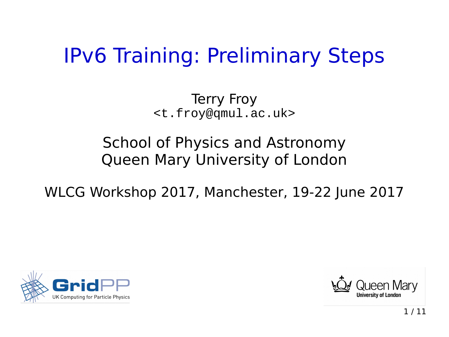# IPv6 Training: Preliminary Steps

Terry Froy <[t.froy@qmul.ac.uk](mailto:t.froy@qmul.ac.uk)>

#### School of Physics and Astronomy Queen Mary University of London

WLCG Workshop 2017, Manchester, 19-22 June 2017



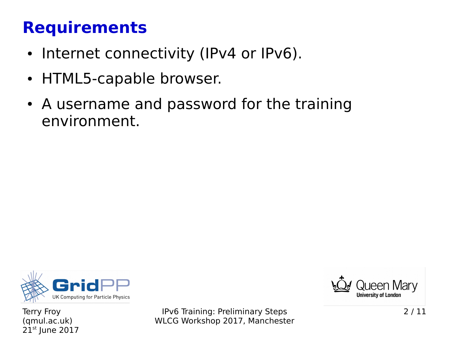### **Requirements**

- Internet connectivity (IPv4 or IPv6).
- HTML5-capable browser.
- A username and password for the training environment.



Terry Froy (qmul.ac.uk) 21st June 2017

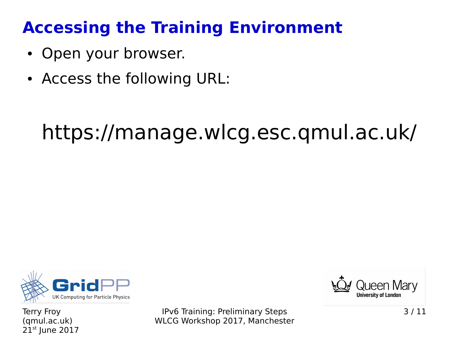### **Accessing the Training Environment**

- Open your browser.
- Access the following URL:

# https://manage.wlcg.esc.qmul.ac.uk/



Terry Froy (qmul.ac.uk)  $21<sup>st</sup>$  June 2017

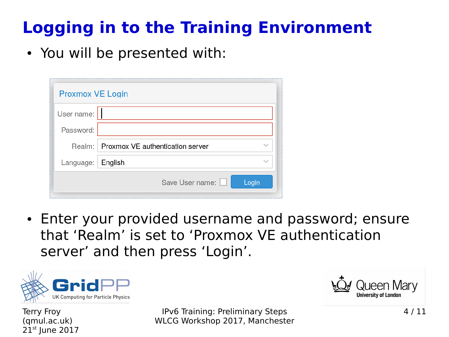# **Logging in to the Training Environment**

• You will be presented with:

| <b>Proxmox VE Login</b> |                                         |
|-------------------------|-----------------------------------------|
| User name:              |                                         |
| Password:               |                                         |
|                         | Realm: Proxmox VE authentication server |
| Language:               | English                                 |
|                         | Save User name:<br>Login                |

• Enter your provided username and password; ensure that 'Realm' is set to 'Proxmox VE authentication server' and then press 'Login'.



Terry Froy (qmul.ac.uk)  $21<sup>st</sup>$  June 2017

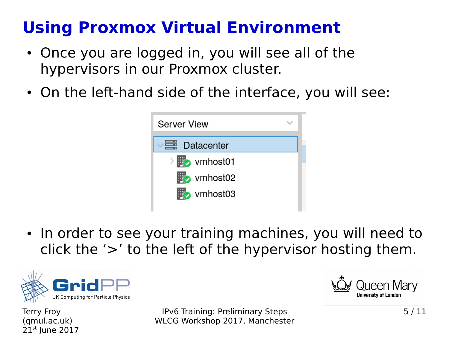### **Using Proxmox Virtual Environment**

- Once you are logged in, you will see all of the hypervisors in our Proxmox cluster.
- On the left-hand side of the interface, you will see:



• In order to see your training machines, you will need to click the '>' to the left of the hypervisor hosting them.



Terry Froy (qmul.ac.uk)  $21<sup>st</sup>$  June 2017

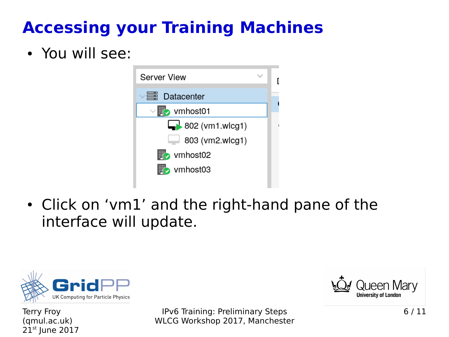# **Accessing your Training Machines**

#### • You will see:



• Click on 'vm1' and the right-hand pane of the interface will update.



Terry Froy (qmul.ac.uk) 21st June 2017

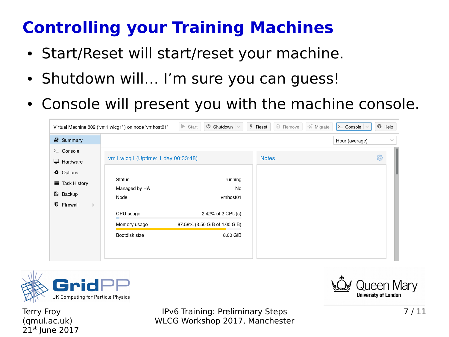## **Controlling your Training Machines**

- Start/Reset will start/reset your machine.
- Shutdown will... I'm sure you can guess!
- Console will present you with the machine console.

|                                  | Virtual Machine 802 ('vm1.wlcg1') on node 'vmhost01' | $\bigcirc$ Shutdown $\big $ $\vee$<br>$\triangleright$ Start | $%$ Reset    | <sup>血</sup> Remove | A Migrate | $\lambda$ Console $\vee$ | <sup>O</sup> Help |              |
|----------------------------------|------------------------------------------------------|--------------------------------------------------------------|--------------|---------------------|-----------|--------------------------|-------------------|--------------|
| $\blacksquare$ Summary           |                                                      |                                                              |              |                     |           | Hour (average)           |                   | $\checkmark$ |
| > Console<br>$\Box$ Hardware     | vm1.wlcg1 (Uptime: 1 day 00:33:48)                   |                                                              | <b>Notes</b> |                     |           |                          | O                 |              |
| <b><math>\Phi</math></b> Options |                                                      |                                                              |              |                     |           |                          |                   |              |
| i≣ Task History                  | Status<br>Managed by HA                              | running<br>No                                                |              |                     |           |                          |                   |              |
| <b>图 Backup</b>                  | Node                                                 | vmhost01                                                     |              |                     |           |                          |                   |              |
| <b>U</b> Firewall<br>$\mathbb D$ |                                                      |                                                              |              |                     |           |                          |                   |              |
|                                  | CPU usage                                            | 2.42% of 2 CPU(s)                                            |              |                     |           |                          |                   |              |
|                                  | Memory usage                                         | 87.56% (3.50 GiB of 4.00 GiB)                                |              |                     |           |                          |                   |              |
|                                  | Bootdisk size                                        | 8.00 GiB                                                     |              |                     |           |                          |                   |              |
|                                  |                                                      |                                                              |              |                     |           |                          |                   |              |
|                                  |                                                      |                                                              |              |                     |           |                          |                   |              |



Terry Froy (qmul.ac.uk)  $21<sup>st</sup>$  June 2017

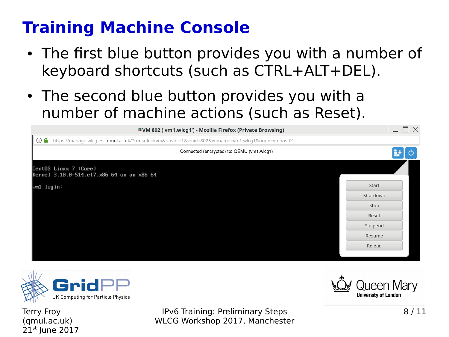### **Training Machine Console**

- The first blue button provides you with a number of keyboard shortcuts (such as CTRL+ALT+DEL).
- The second blue button provides you with a number of machine actions (such as Reset).

| <b>DVM 802 ('vm1.wlcg1') - Mozilla Firefox (Private Browsing)</b>                                          | $-\Box$ $\times$ |
|------------------------------------------------------------------------------------------------------------|------------------|
| <b>① △</b> https://manage.wlcg.esc.qmul.ac.uk/?console=kvm&novnc=1&vmid=802&vmname=vm1.wlcg1&node=vmhost01 |                  |
| Connected (encrypted) to: QEMU (vm1.wlcg1)                                                                 |                  |
| CentOS Linux 7 (Core)<br>Kernel 3.10.0-514.el7.x86_64 on an x86_64                                         |                  |
| $\mathsf{vm1}$ login:                                                                                      | Start            |
|                                                                                                            | Shutdown         |
|                                                                                                            | Stop             |
|                                                                                                            | Reset            |
|                                                                                                            | Suspend          |
|                                                                                                            | Resume           |
|                                                                                                            | Reload           |
|                                                                                                            |                  |



Terry Froy (qmul.ac.uk)  $21<sup>st</sup>$  June 2017

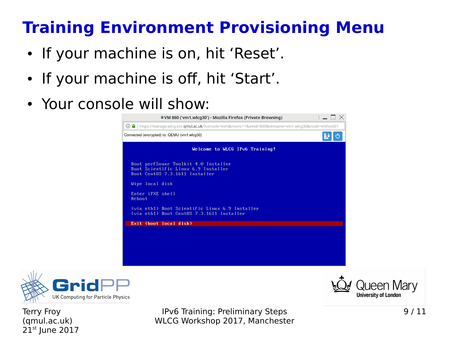### **Training Environment Provisioning Menu**

- If your machine is on, hit 'Reset'.
- If your machine is off, hit 'Start'.
- Your console will show:





Terry Froy (qmul.ac.uk)  $21<sup>st</sup>$  June 2017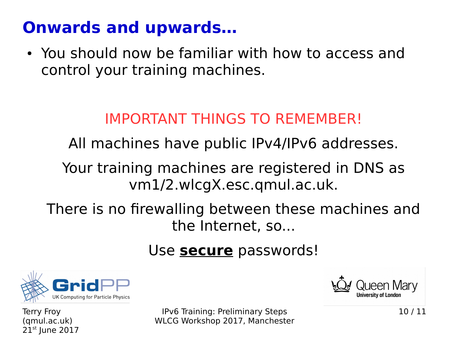### **Onwards and upwards…**

• You should now be familiar with how to access and control your training machines.

### IMPORTANT THINGS TO REMEMBER!

All machines have public IPv4/IPv6 addresses.

Your training machines are registered in DNS as vm1/2.wlcgX.esc.qmul.ac.uk.

There is no firewalling between these machines and the Internet, so...

#### Use **secure** passwords!



Terry Froy (qmul.ac.uk)  $21<sup>st</sup>$  June 2017